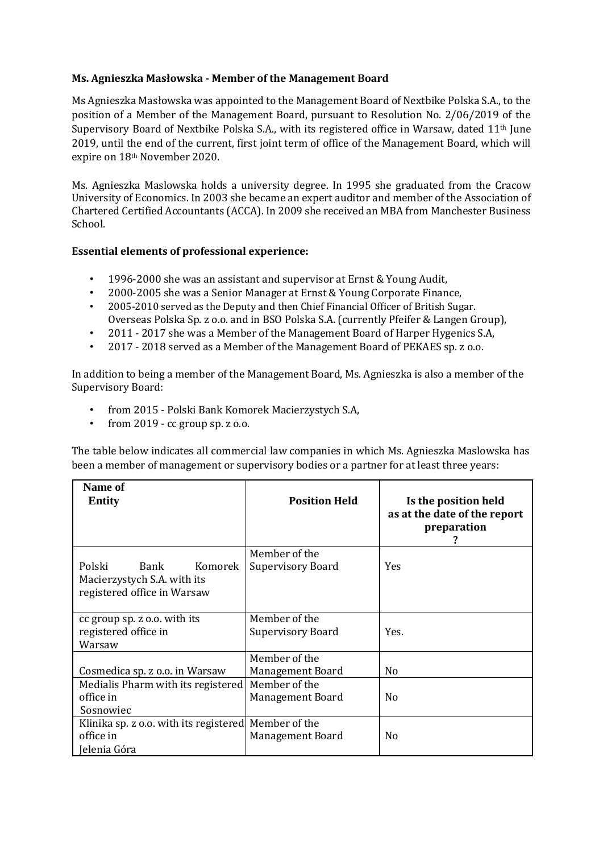## **Ms. Agnieszka Masłowska - Member of the Management Board**

Ms Agnieszka Masłowska was appointed to the Management Board of Nextbike Polska S.A., to the position of a Member of the Management Board, pursuant to Resolution No. 2/06/2019 of the Supervisory Board of Nextbike Polska S.A., with its registered office in Warsaw, dated 11th June 2019, until the end of the current, first joint term of office of the Management Board, which will expire on 18th November 2020.

Ms. Agnieszka Maslowska holds a university degree. In 1995 she graduated from the Cracow University of Economics. In 2003 she became an expert auditor and member of the Association of Chartered Certified Accountants (ACCA). In 2009 she received an MBA from Manchester Business School.

## **Essential elements of professional experience:**

- 1996-2000 she was an assistant and supervisor at Ernst & Young Audit,
- 2000-2005 she was a Senior Manager at Ernst & Young Corporate Finance,
- 2005-2010 served as the Deputy and then Chief Financial Officer of British Sugar. Overseas Polska Sp. z o.o. and in BSO Polska S.A. (currently Pfeifer & Langen Group),
- 2011 2017 she was a Member of the Management Board of Harper Hygenics S.A,
- 2017 2018 served as a Member of the Management Board of PEKAES sp. z o.o.

In addition to being a member of the Management Board, Ms. Agnieszka is also a member of the Supervisory Board:

- from 2015 Polski Bank Komorek Macierzystych S.A,
- from 2019 cc group sp. z o.o.

The table below indicates all commercial law companies in which Ms. Agnieszka Maslowska has been a member of management or supervisory bodies or a partner for at least three years:

| <b>Name of</b><br><b>Entity</b>                                                         | <b>Position Held</b>                      | Is the position held<br>as at the date of the report<br>preparation |
|-----------------------------------------------------------------------------------------|-------------------------------------------|---------------------------------------------------------------------|
| Polski<br>Bank<br>Komorek<br>Macierzystych S.A. with its<br>registered office in Warsaw | Member of the<br><b>Supervisory Board</b> | <b>Yes</b>                                                          |
| cc group sp. z o.o. with its<br>registered office in<br>Warsaw                          | Member of the<br>Supervisory Board        | Yes.                                                                |
| Cosmedica sp. z o.o. in Warsaw                                                          | Member of the<br>Management Board         | N <sub>0</sub>                                                      |
| Medialis Pharm with its registered<br>office in<br>Sosnowiec                            | Member of the<br><b>Management Board</b>  | N <sub>o</sub>                                                      |
| Klinika sp. z o.o. with its registered Member of the<br>office in<br>Jelenia Góra       | Management Board                          | N <sub>0</sub>                                                      |